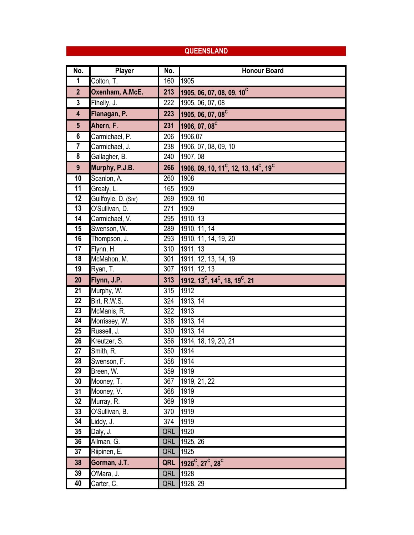### **QUEENSLAND**

| No.                     | Player                   | No. | <b>Honour Board</b>                                                       |
|-------------------------|--------------------------|-----|---------------------------------------------------------------------------|
| 1                       | Colton, $\overline{T}$ . | 160 | 1905                                                                      |
| $\overline{2}$          | Oxenham, A.McE.          | 213 | 1905, 06, 07, 08, 09, 10 <sup>C</sup>                                     |
| $\mathbf{3}$            | Fihelly, J.              | 222 | 1905, 06, 07, 08                                                          |
| $\overline{\mathbf{4}}$ | Flanagan, P.             | 223 | 1905, 06, 07, 08 <sup>C</sup>                                             |
| $5\phantom{.0}$         | Ahern, F.                | 231 | 1906, 07, 08 <sup>C</sup>                                                 |
| $6\phantom{1}$          | Carmichael, P.           | 206 | 1906,07                                                                   |
|                         | Carmichael, J.           | 238 | 1906, 07, 08, 09, 10                                                      |
| $\overline{\mathbf{8}}$ | Gallagher, B.            | 240 | 1907, 08                                                                  |
| 9                       | Murphy, P.J.B.           | 266 | 1908, 09, 10, 11 <sup>c</sup> , 12, 13, 14 <sup>c</sup> , 19 <sup>c</sup> |
| $\overline{10}$         | Scanlon, A.              | 260 | 1908                                                                      |
| 11                      | Grealy, L.               | 165 | 1909                                                                      |
| 12                      | Guilfoyle, D. (Snr)      | 269 | 1909, 10                                                                  |
| 13                      | O'Sullivan, D.           | 271 | 1909                                                                      |
| $\overline{14}$         | Carmichael, V.           | 295 | 1910, 13                                                                  |
| 15                      | Swenson, W.              | 289 | 1910, 11, 14                                                              |
| 16                      | Thompson, J.             | 293 | 1910, 11, 14, 19, 20                                                      |
| 17                      | Flynn, H.                | 310 | 1911, 13                                                                  |
| $\overline{18}$         | McMahon, M.              | 301 | 1911, 12, 13, 14, 19                                                      |
| 19                      | Ryan, T.                 | 307 | 1911, 12, 13                                                              |
| 20                      | Flynn, J.P.              | 313 | 1912, 13 <sup>c</sup> , 14 <sup>c</sup> , 18, 19 <sup>c</sup> , 21        |
| $\overline{21}$         | Murphy, W.               | 315 | 1912                                                                      |
| 22                      | Birt, R.W.S.             | 324 | 1913, 14                                                                  |
| $\overline{23}$         | McManis, R.              | 322 | 1913                                                                      |
| 24                      | Morrissey, W.            | 338 | 1913, 14                                                                  |
| $\overline{25}$         | Russell, J.              | 330 | 1913, 14                                                                  |
| $\overline{26}$         | Kreutzer, S.             | 356 | 1914, 18, 19, 20, 21                                                      |
| $\overline{27}$         | Smith, R.                | 350 | 1914                                                                      |
| 28                      | Swenson, F.              | 358 | 1914                                                                      |
| 29                      | Breen, W.                | 359 | 1919                                                                      |
| 30                      | Mooney, T.               | 367 | 1919, 21, 22                                                              |
| 31                      | Mooney, V.               | 368 | 1919                                                                      |
| 32                      | Murray, R.               | 369 | 1919                                                                      |
| 33                      | O'Sullivan, B.           | 370 | 1919                                                                      |
| 34                      | Liddy, J.                | 374 | 1919                                                                      |
| 35                      | Daly, J.                 | QRL | 1920                                                                      |
| 36                      | Allman, G.               | QRL | 1925, 26                                                                  |
| 37                      | Riipinen, E.             | QRL | 1925                                                                      |
| 38                      | Gorman, J.T.             | QRL | $1926^{\circ}$ , 27 <sup>c</sup> , 28 <sup>c</sup>                        |
| 39                      | O'Mara, J.               | QRL | 1928                                                                      |
| 40                      | Carter, C.               | QRL | 1928, 29                                                                  |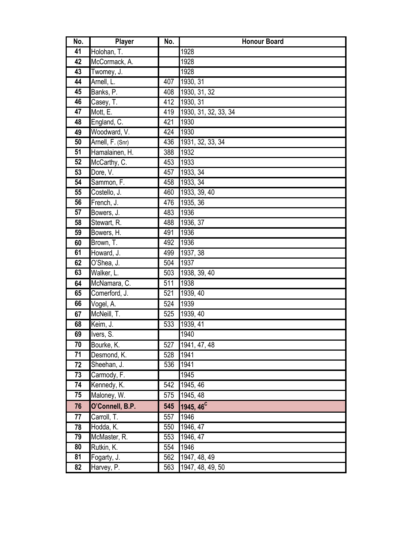| No.             | <b>Player</b>    | No.              | <b>Honour Board</b>   |
|-----------------|------------------|------------------|-----------------------|
| 41              | Holohan, T.      |                  | 1928                  |
| 42              | McCormack, A.    |                  | 1928                  |
| $\overline{43}$ | Twomey, J.       |                  | 1928                  |
| 44              | Arnell, L.       | 407              | 1930, 31              |
| 45              | Banks, P.        | 408              | 1930, 31, 32          |
| 46              | Casey, T.        | 412              | 1930, 31              |
| $\overline{47}$ | Mott, E.         | 419              | 1930, 31, 32, 33, 34  |
| 48              | England, C.      | 421              | 1930                  |
| 49              | Woodward, V.     | 424              | 1930                  |
| 50              | Arnell, F. (Snr) | 436              | 1931, 32, 33, 34      |
| 51              | Hamalainen, H.   | 388              | 1932                  |
| 52              | McCarthy, C.     | 453              | 1933                  |
| 53              | Dore, V.         | 457              | 1933, 34              |
| 54              | Sammon, F.       | 458              | 1933, 34              |
| 55              | Costello, J.     | 460              | 1933, 39, 40          |
| 56              | French, J.       | 476              | 1935, 36              |
| 57              | Bowers, J.       | 483              | 1936                  |
| $\overline{58}$ | Stewart, R.      | 488              | 1936, 37              |
| 59              | Bowers, H.       | 491              | 1936                  |
| 60              | Brown, T.        | 492              | 1936                  |
| 61              | Howard, J.       | 499              | 1937, 38              |
| 62              | O'Shea, J.       | 504              | 1937                  |
| 63              | Walker, L.       | 503              | 1938, 39, 40          |
| 64              | McNamara, C.     | $\overline{511}$ | 1938                  |
| 65              | Comerford, J.    | 521              | 1939, 40              |
| 66              | Vogel, A.        | 524              | 1939                  |
| 67              | McNeill, T.      | 525              | 1939, 40              |
| 68              | Keim, J.         | 533              | 1939, 41              |
| 69              | Ivers, S.        |                  | 1940                  |
| 70              | Bourke, K.       | 527              | 1941, 47, 48          |
| 71              | Desmond, K.      | 528              | 1941                  |
| 72              | Sheehan, J.      | 536              | 1941                  |
| 73              | Carmody, F.      |                  | 1945                  |
| 74              | Kennedy, K.      | 542              | 1945, $\overline{46}$ |
| 75              | Maloney, W.      | 575              | 1945, 48              |
| 76              | O'Connell, B.P.  | 545              | 1945, 46 <sup>C</sup> |
| 77              | Carroll, T.      | 557              | 1946                  |
| 78              | Hodda, K.        | 550              | 1946, 47              |
| 79              | McMaster, R.     | 553              | 1946, 47              |
| 80              | Rutkin, K.       | 554              | 1946                  |
| 81              | Fogarty, J.      | 562              | 1947, 48, 49          |
| 82              | Harvey, P.       | 563              | 1947, 48, 49, 50      |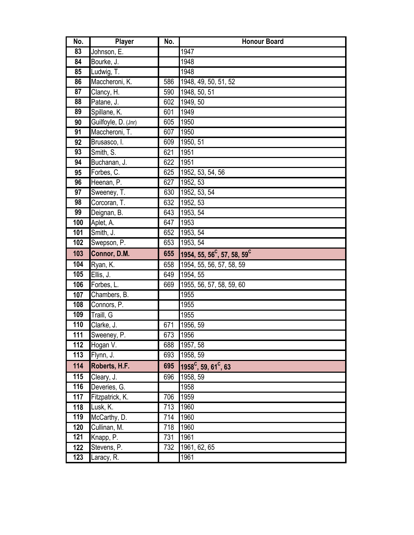| No.              | Player              | No.             | <b>Honour Board</b>                                 |
|------------------|---------------------|-----------------|-----------------------------------------------------|
| 83               | Johnson, E.         |                 | 1947                                                |
| 84               | Bourke, J.          |                 | 1948                                                |
| 85               | Ludwig, T.          |                 | 1948                                                |
| 86               | Maccheroni, K.      | 586             | 1948, 49, 50, 51, 52                                |
| 87               | Clancy, H.          | 590             | 1948, 50, 51                                        |
| 88               | Patane, J.          | 602             | 1949, 50                                            |
| 89               | Spillane, K.        | 601             | 1949                                                |
| 90               | Guilfoyle, D. (Jnr) | 605             | 1950                                                |
| $\overline{91}$  | Maccheroni, T.      | 607             | 1950                                                |
| 92               | Brusasco, I.        | 609             | 1950, 51                                            |
| 93               | Smith, S.           | 621             | 1951                                                |
| 94               | Buchanan, J.        | 622             | 1951                                                |
| 95               | Forbes, C.          | 625             | 1952, 53, 54, 56                                    |
| 96               | Heenan, P.          | $\overline{62}$ | 1952, 53                                            |
| 97               | Sweeney, T.         | 630             | 1952, 53, 54                                        |
| 98               | Corcoran, T.        | 632             | 1952, 53                                            |
| 99               | Deignan, B.         | 643             | 1953, 54                                            |
| 100              | Aplet, A.           | 647             | 1953                                                |
| 101              | Smith, J.           | 652             | 1953, 54                                            |
| 102              | Swepson, P.         | 653             | 1953, 54                                            |
| 103              | Connor, D.M.        | 655             | 1954, 55, 56 <sup>C</sup> , 57, 58, 59 <sup>C</sup> |
| 104              | Ryan, K.            | 658             | 1954, 55, 56, 57, 58, 59                            |
| 105              | Ellis, J.           | 649             | 1954, 55                                            |
| 106              | Forbes, L.          | 669             | 1955, 56, 57, 58, 59, 60                            |
| 107              | Chambers, B.        |                 | 1955                                                |
| 108              | Connors, P.         |                 | 1955                                                |
| 109              | Traill, G           |                 | 1955                                                |
| 110              | Clarke, J.          | 671             | 1956, 59                                            |
| $\overline{111}$ | Sweeney, P.         | 673             | 1956                                                |
| 112              | Hogan V.            | 688             | 1957, 58                                            |
| $\overline{113}$ | Flynn, J.           | 693             | 1958, 59                                            |
| 114              | Roberts, H.F.       | 695             | $1958^{\circ}$ , 59, 61 <sup>c</sup> , 63           |
| 115              | Cleary, J.          | 696             | 1958, 59                                            |
| 116              | Deveries, G.        |                 | 1958                                                |
| 117              | Fitzpatrick, K.     | 706             | 1959                                                |
| 118              | Lusk, K.            | 713             | 1960                                                |
| 119              | McCarthy, D.        | 714             | 1960                                                |
| 120              | Cullinan, M.        | 718             | 1960                                                |
| 121              | Knapp, P.           | 731             | 1961                                                |
| 122              | Stevens, P.         | 732             | 1961, 62, 65                                        |
| 123              | Laracy, R.          |                 | 1961                                                |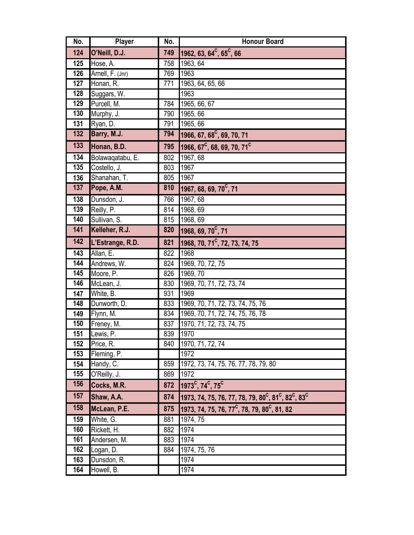| No. | Player           | No. | <b>Honour Board</b>                                                                                 |
|-----|------------------|-----|-----------------------------------------------------------------------------------------------------|
| 124 | O'Neill, D.J.    | 749 | 1962, 63, 64 <sup>c</sup> , 65 <sup>c</sup> , 66                                                    |
| 125 | Hose, A.         | 758 | 1963, 64                                                                                            |
| 126 | Arnell, F. (Jnr) | 769 | 1963                                                                                                |
| 127 | Honan, R.        | 771 | 1963, 64, 65, 66                                                                                    |
| 128 | Suggars, W.      |     | 1963                                                                                                |
| 129 | Purcell, M.      | 784 | 1965, 66, 67                                                                                        |
| 130 | Murphy, J.       | 790 | 1965, 66                                                                                            |
| 131 | Ryan, D.         | 791 | 1965, 66                                                                                            |
| 132 | Barry, M.J.      | 794 | 1966, 67, 68 <sup>C</sup> , 69, 70, 71                                                              |
| 133 | Honan, B.D.      | 795 | 1966, 67 <sup>C</sup> , 68, 69, 70, 71 <sup>C</sup>                                                 |
| 134 | Bolawaqatabu, E. | 802 | 1967, 68                                                                                            |
| 135 | Costello, J.     | 803 | 1967                                                                                                |
| 136 | Shanahan, T.     | 805 | 1967                                                                                                |
| 137 | Pope, A.M.       | 810 | 1967, 68, 69, 70 <sup>c</sup> , 71                                                                  |
| 138 | Dunsdon, J.      | 766 | 1967, 68                                                                                            |
| 139 | Reilly, P.       | 814 | 1968, 69                                                                                            |
| 140 | Sullivan, S.     | 815 | 1968, 69                                                                                            |
| 141 | Kelleher, R.J.   | 820 | 1968, 69, 70 <sup>C</sup> , 71                                                                      |
| 142 | L'Estrange, R.D. | 821 | 1968, 70, 71 <sup>c</sup> , 72, 73, 74, 75                                                          |
| 143 | Allan, E.        | 822 | 1968                                                                                                |
| 144 | Andrews, W.      | 824 | 1969, 70, 72, 75                                                                                    |
| 145 | Moore, P.        | 826 | 1969, 70                                                                                            |
| 146 | McLean, J.       | 830 | 1969, 70, 71, 72, 73, 74                                                                            |
| 147 | White, B.        | 931 | 1969                                                                                                |
| 148 | Dunworth, D.     | 833 | 1969, 70, 71, 72, 73, 74, 75, 76                                                                    |
| 149 | Flynn, M.        | 834 | 1969, 70, 71, 72, 74, 75, 76, 78                                                                    |
| 150 | Freney, M.       | 837 | 1970, 71, 72, 73, 74, 75                                                                            |
| 151 | Lewis, P.        | 839 | 1970                                                                                                |
| 152 | Price, R.        | 840 | 1970, 71, 72, 74                                                                                    |
| 153 | Fleming, P.      |     | 1972                                                                                                |
| 154 | Handy, C.        | 859 | 1972, 73, 74, 75, 76, 77, 78, 79, 80                                                                |
| 155 | O'Reilly, J.     | 869 | 1972                                                                                                |
| 156 | Cocks, M.R.      | 872 | $1973^{\circ}$ , 74 <sup>c</sup> , 75 <sup>c</sup>                                                  |
| 157 | Shaw, A.A.       | 874 | 1973, 74, 75, 76, 77, 78, 79, 80 <sup>c</sup> , 81 <sup>c</sup> , 82 <sup>c</sup> , 83 <sup>c</sup> |
| 158 | McLean, P.E.     | 875 | 1973, 74, 75, 76, 77 <sup>C</sup> , 78, 79, 80 <sup>C</sup> , 81, 82                                |
| 159 | White, G.        | 881 | 1974, 75                                                                                            |
| 160 | Rickett, H.      | 882 | 1974                                                                                                |
| 161 | Andersen, M.     | 883 | 1974                                                                                                |
| 162 | Logan, D.        | 884 | 1974, 75, 76                                                                                        |
| 163 | Dunsdon, R.      |     | 1974                                                                                                |
| 164 | Howell, B.       |     | 1974                                                                                                |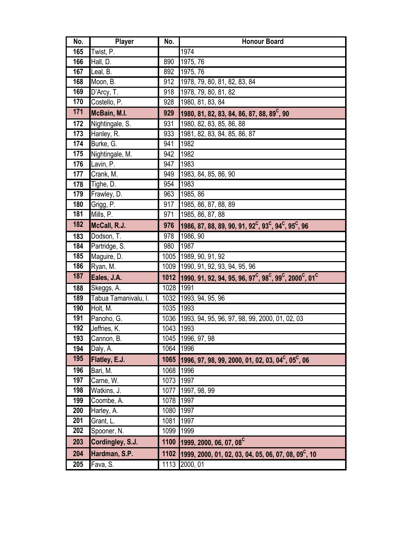| No.   | Player               | No.       | <b>Honour Board</b>                                                                                                      |
|-------|----------------------|-----------|--------------------------------------------------------------------------------------------------------------------------|
| 165   | Twist, P.            |           | 1974                                                                                                                     |
| 166   | Hall, D.             | 890       | 1975, 76                                                                                                                 |
| 167   | Leal, B.             | 892       | 1975, 76                                                                                                                 |
| 168   | Moon, B.             | 912       | 1978, 79, 80, 81, 82, 83, 84                                                                                             |
| 169   | D'Arcy, T.           | 918       | 1978, 79, 80, 81, 82                                                                                                     |
| 170   | Costello, P.         | 928       | 1980, 81, 83, 84                                                                                                         |
| $171$ | McBain, M.I.         | 929       | 1980, 81, 82, 83, 84, 86, 87, 88, 89 <sup>c</sup> , 90                                                                   |
| 172   | Nightingale, S.      | 931       | 1980, 82, 83, 85, 86, 88                                                                                                 |
| 173   | Hanley, R.           | 933       | 1981, 82, 83, 84, 85, 86, 87                                                                                             |
| 174   | Burke, G.            | 941       | 1982                                                                                                                     |
| 175   | Nightingale, M.      | 942       | 1982                                                                                                                     |
| 176   | Lavin, P.            | 947       | 1983                                                                                                                     |
| 177   | Crank, M.            | 949       | 1983, 84, 85, 86, 90                                                                                                     |
| 178   | Tighe, D.            | 954       | 1983                                                                                                                     |
| 179   | Frawley, D.          | 963       | 1985, 86                                                                                                                 |
| 180   | Grigg, P.            | 917       | 1985, 86, 87, 88, 89                                                                                                     |
| 181   | Mills, P.            | 971       | 1985, 86, 87, 88                                                                                                         |
| 182   | McCall, R.J.         | 976       | 1986, 87, 88, 89, 90, 91, 92 <sup>c</sup> , 93 <sup>c</sup> , 94 <sup>c</sup> , 95 <sup>c</sup> , 96                     |
| 183   | Dodson, T.           | 978       | 1986, 90                                                                                                                 |
| 184   | Partridge, S.        | 980       | 1987                                                                                                                     |
| 185   | Maguire, D.          |           | 1005 1989, 90, 91, 92                                                                                                    |
| 186   | Ryan, M.             |           | 1009 1990, 91, 92, 93, 94, 95, 96                                                                                        |
| 187   | Eales, J.A.          |           | 1012 1990, 91, 92, 94, 95, 96, 97 <sup>c</sup> , 98 <sup>c</sup> , 99 <sup>c</sup> , 2000 <sup>c</sup> , 01 <sup>c</sup> |
| 188   | Skeggs, A.           | 1028 1991 |                                                                                                                          |
| 189   | Tabua Tamanivalu, I. |           | 1032 1993, 94, 95, 96                                                                                                    |
| 190   | Holt, M.             | 1035      | 1993                                                                                                                     |
| 191   | Panoho, G.           |           | 1036 1993, 94, 95, 96, 97, 98, 99, 2000, 01, 02, 03                                                                      |
| 192   | Jeffries, K.         | 1043 1993 |                                                                                                                          |
| 193   | Cannon, B.           |           | 1045 1996, 97, 98                                                                                                        |
| 194   | Daly, A.             | 1064      | 1996                                                                                                                     |
| 195   | Flatley, E.J.        | 1065      | 1996, 97, 98, 99, 2000, 01, 02, 03, 04 <sup>c</sup> , 05 <sup>c</sup> , 06                                               |
| 196   | Bari, M.             | 1068      | 1996                                                                                                                     |
| 197   | Carne, W.            | 1073      | 1997                                                                                                                     |
| 198   | Watkins, J.          | 1077      | 1997, 98, 99                                                                                                             |
| 199   | Coombe, A.           | 1078      | 1997                                                                                                                     |
| 200   | Harley, A.           | 1080      | 1997                                                                                                                     |
| 201   | Grant, L.            | 1081      | 1997                                                                                                                     |
| 202   | Spooner, N.          | 1099      | 1999                                                                                                                     |
| 203   | Cordingley, S.J.     | 1100      | 1999, 2000, 06, 07, 08 <sup>C</sup>                                                                                      |
| 204   | Hardman, S.P.        | 1102      | 1999, 2000, 01, 02, 03, 04, 05, 06, 07, 08, 09 <sup>C</sup> , 10                                                         |
| 205   | Fava, S.             | 1113      | 2000, 01                                                                                                                 |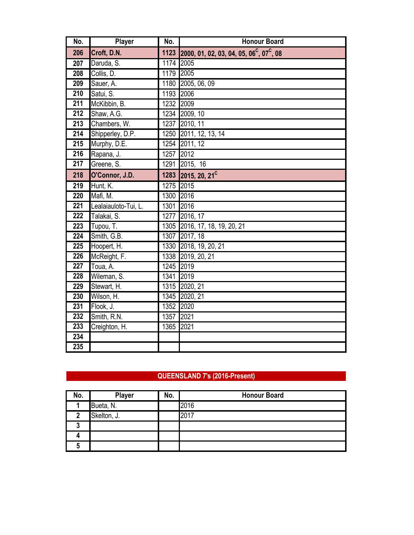| No.              | Player               | No.       | <b>Honour Board</b>                                              |
|------------------|----------------------|-----------|------------------------------------------------------------------|
| 206              | Croft, D.N.          | 1123      | 2000, 01, 02, 03, 04, 05, 06 <sup>c</sup> , 07 <sup>c</sup> , 08 |
| 207              | Daruda, S.           | 1174 2005 |                                                                  |
| 208              | Collis, D.           | 1179      | 2005                                                             |
| 209              | Sauer, A.            | 1180      | 2005, 06, 09                                                     |
| 210              | Satui, S.            | 1193 2006 |                                                                  |
| $\overline{211}$ | McKibbin, B.         | 1232 2009 |                                                                  |
| 212              | Shaw, A.G.           |           | 1234 2009, 10                                                    |
| $\overline{213}$ | Chambers, W.         | 1237      | 2010, 11                                                         |
| 214              | Shipperley, D.P.     | 1250      | 2011, 12, 13, 14                                                 |
| $\overline{215}$ | Murphy, D.E.         |           | 1254 2011, 12                                                    |
| $\overline{216}$ | Rapana, J.           | 1257      | 2012                                                             |
| 217              | Greene, S.           | 1291      | 2015, 16                                                         |
| 218              | O'Connor, J.D.       | 1283      | 2015, 20, 21 <sup>C</sup>                                        |
| 219              | Hunt, K.             | 1275      | 2015                                                             |
| 220              | Mafi, M.             | 1300      | 2016                                                             |
| $\overline{221}$ | Lealaiauloto-Tui, L. | 1301      | 2016                                                             |
| $\overline{222}$ | Talakai, S.          | 1277      | 2016, 17                                                         |
| 223              | Tupou, T.            | 1305      | 2016, 17, 18, 19, 20, 21                                         |
| 224              | Smith, G.B.          | 1307      | 2017, 18                                                         |
| 225              | Hoopert, H.          |           | 1330 2018, 19, 20, 21                                            |
| 226              | McReight, F.         |           | 1338 2019, 20, 21                                                |
| 227              | Toua, A.             | 1245      | 2019                                                             |
| 228              | Wileman, S.          | 1341      | 2019                                                             |
| 229              | Stewart, H.          |           | 1315 2020, 21                                                    |
| 230              | Wilson, H.           | 1345      | 2020, 21                                                         |
| 231              | Flook, J.            | 1352      | 2020                                                             |
| 232              | Smith, R.N.          | 1357      | 2021                                                             |
| 233              | Creighton, H.        | 1365      | 2021                                                             |
| 234              |                      |           |                                                                  |
| 235              |                      |           |                                                                  |

### **QUEENSLAND 7's (2016-Present)**

| No. | Player      | No. | <b>Honour Board</b> |
|-----|-------------|-----|---------------------|
|     | Bueta, N.   |     | 2016                |
| ŋ   | Skelton, J. |     | 2017                |
|     |             |     |                     |
|     |             |     |                     |
|     |             |     |                     |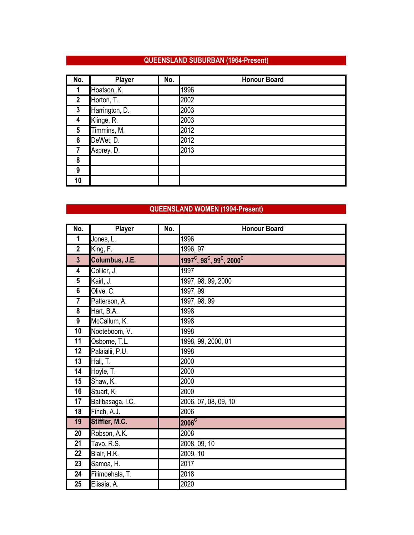### **QUEENSLAND SUBURBAN (1964-Present)**

| No.            | <b>Player</b>  | No. | <b>Honour Board</b> |
|----------------|----------------|-----|---------------------|
|                | Hoatson, K.    |     | 1996                |
| $\overline{2}$ | Horton, T.     |     | 2002                |
| 3              | Harrington, D. |     | 2003                |
| 4              | Klinge, R.     |     | 2003                |
| 5              | Timmins, M.    |     | 2012                |
| 6              | DeWet, D.      |     | 2012                |
| 7              | Asprey, D.     |     | 2013                |
| 8              |                |     |                     |
| 9              |                |     |                     |
| 10             |                |     |                     |

## **QUEENSLAND WOMEN (1994-Present)**

| No.             | Player           | No. | <b>Honour Board</b>                                              |
|-----------------|------------------|-----|------------------------------------------------------------------|
| 1               | Jones, L.        |     | 1996                                                             |
| $\mathbf{2}$    | King, F.         |     | 1996, 97                                                         |
| $\overline{3}$  | Columbus, J.E.   |     | $1997^{\circ}$ , 98 $^{\circ}$ , 99 $^{\circ}$ , 2000 $^{\circ}$ |
| 4               | Collier, J.      |     | 1997                                                             |
| $5\phantom{.0}$ | Kairl, J.        |     | 1997, 98, 99, 2000                                               |
| $6\phantom{1}$  | Olive, C.        |     | 1997, 99                                                         |
| 7               | Patterson, A.    |     | 1997, 98, 99                                                     |
| 8               | Hart, B.A.       |     | 1998                                                             |
| 9               | McCallum, K.     |     | 1998                                                             |
| 10              | Nooteboom, V.    |     | 1998                                                             |
| 11              | Osborne, T.L.    |     | 1998, 99, 2000, 01                                               |
| $\overline{12}$ | Palaialii, P.U.  |     | 1998                                                             |
| $\overline{13}$ | Hall, T.         |     | 2000                                                             |
| 14              | Hoyle, T.        |     | 2000                                                             |
| 15              | Shaw, K.         |     | 2000                                                             |
| 16              | Stuart, K.       |     | 2000                                                             |
| 17              | Batibasaga, I.C. |     | 2006, 07, 08, 09, 10                                             |
| 18              | Finch, A.J.      |     | 2006                                                             |
| 19              | Stiffler, M.C.   |     | $2006^{\overline{C}}$                                            |
| 20              | Robson, A.K.     |     | 2008                                                             |
| $\overline{21}$ | Tavo, R.S.       |     | 2008, 09, 10                                                     |
| 22              | Blair, H.K.      |     | 2009, 10                                                         |
| 23              | Samoa, H.        |     | 2017                                                             |
| 24              | Filimoehala, T.  |     | 2018                                                             |
| 25              | Elisaia, A.      |     | 2020                                                             |